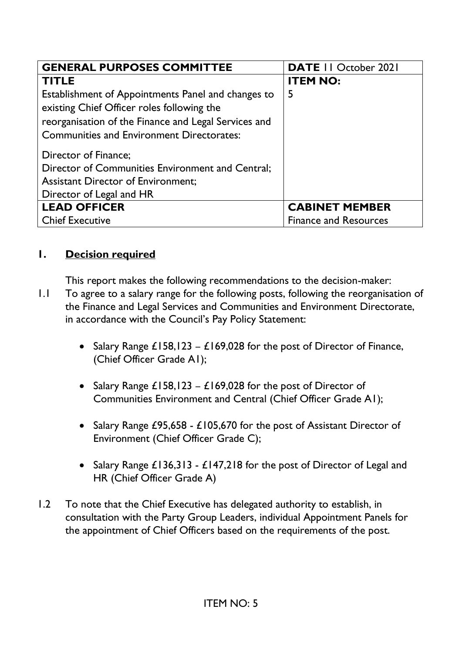| <b>GENERAL PURPOSES COMMITTEE</b>                    | <b>DATE II October 2021</b>  |
|------------------------------------------------------|------------------------------|
| <b>TITLE</b>                                         | <b>ITEM NO:</b>              |
| Establishment of Appointments Panel and changes to   | 5                            |
| existing Chief Officer roles following the           |                              |
| reorganisation of the Finance and Legal Services and |                              |
| <b>Communities and Environment Directorates:</b>     |                              |
| Director of Finance;                                 |                              |
| Director of Communities Environment and Central;     |                              |
| <b>Assistant Director of Environment;</b>            |                              |
| Director of Legal and HR                             |                              |
| <b>LEAD OFFICER</b>                                  | <b>CABINET MEMBER</b>        |
| <b>Chief Executive</b>                               | <b>Finance and Resources</b> |

#### **1. Decision required**

This report makes the following recommendations to the decision-maker:

- 1.1 To agree to a salary range for the following posts, following the reorganisation of the Finance and Legal Services and Communities and Environment Directorate, in accordance with the Council's Pay Policy Statement:
	- Salary Range  $£158,123 £169,028$  for the post of Director of Finance, (Chief Officer Grade A1);
	- Salary Range  $£158,123 £169,028$  for the post of Director of Communities Environment and Central (Chief Officer Grade A1);
	- Salary Range £95,658 £105,670 for the post of Assistant Director of Environment (Chief Officer Grade C);
	- Salary Range £136,313 £147,218 for the post of Director of Legal and HR (Chief Officer Grade A)
- 1.2 To note that the Chief Executive has delegated authority to establish, in consultation with the Party Group Leaders, individual Appointment Panels for the appointment of Chief Officers based on the requirements of the post.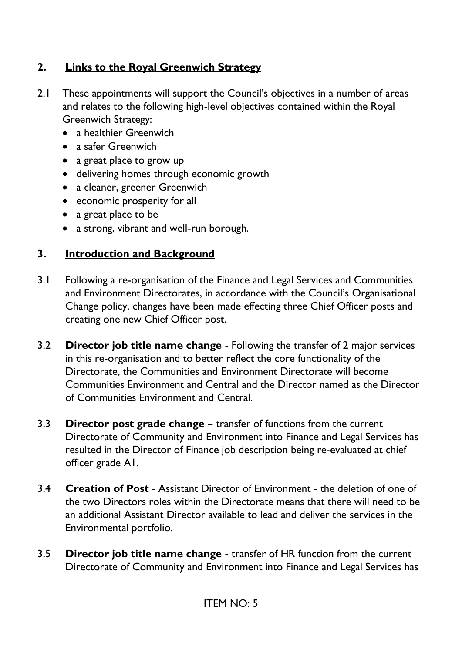# **2. Links to the Royal Greenwich Strategy**

- 2.1 These appointments will support the Council's objectives in a number of areas and relates to the following high-level objectives contained within the Royal Greenwich Strategy:
	- a healthier Greenwich
	- a safer Greenwich
	- a great place to grow up
	- delivering homes through economic growth
	- a cleaner, greener Greenwich
	- economic prosperity for all
	- a great place to be
	- a strong, vibrant and well-run borough.

# **3. Introduction and Background**

- 3.1 Following a re-organisation of the Finance and Legal Services and Communities and Environment Directorates, in accordance with the Council's Organisational Change policy, changes have been made effecting three Chief Officer posts and creating one new Chief Officer post.
- 3.2 **Director job title name change** Following the transfer of 2 major services in this re-organisation and to better reflect the core functionality of the Directorate, the Communities and Environment Directorate will become Communities Environment and Central and the Director named as the Director of Communities Environment and Central.
- 3.3 **Director post grade change** transfer of functions from the current Directorate of Community and Environment into Finance and Legal Services has resulted in the Director of Finance job description being re-evaluated at chief officer grade A1.
- 3.4 **Creation of Post** Assistant Director of Environment the deletion of one of the two Directors roles within the Directorate means that there will need to be an additional Assistant Director available to lead and deliver the services in the Environmental portfolio.
- 3.5 **Director job title name change -** transfer of HR function from the current Directorate of Community and Environment into Finance and Legal Services has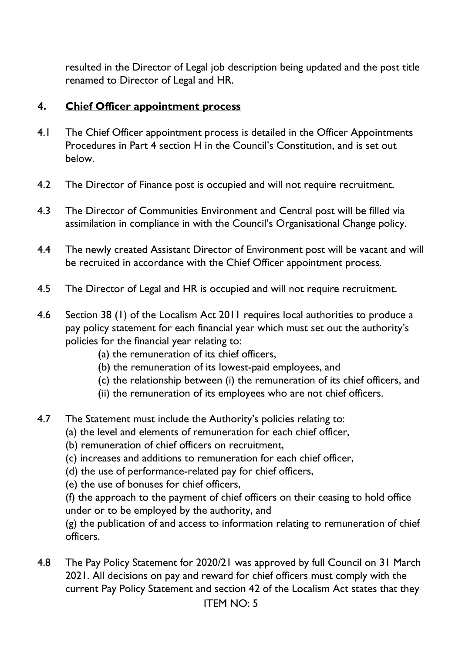resulted in the Director of Legal job description being updated and the post title renamed to Director of Legal and HR.

#### **4. Chief Officer appointment process**

- 4.1 The Chief Officer appointment process is detailed in the Officer Appointments Procedures in Part 4 section H in the Council's Constitution, and is set out below.
- 4.2 The Director of Finance post is occupied and will not require recruitment.
- 4.3 The Director of Communities Environment and Central post will be filled via assimilation in compliance in with the Council's Organisational Change policy.
- 4.4 The newly created Assistant Director of Environment post will be vacant and will be recruited in accordance with the Chief Officer appointment process.
- 4.5 The Director of Legal and HR is occupied and will not require recruitment.
- 4.6 Section 38 (1) of the Localism Act 2011 requires local authorities to produce a pay policy statement for each financial year which must set out the authority's policies for the financial year relating to:
	- (a) the remuneration of its chief officers,
	- (b) the remuneration of its lowest-paid employees, and
	- (c) the relationship between (i) the remuneration of its chief officers, and
	- (ii) the remuneration of its employees who are not chief officers.
- 4.7 The Statement must include the Authority's policies relating to:
	- (a) the level and elements of remuneration for each chief officer,
		- (b) remuneration of chief officers on recruitment,
		- (c) increases and additions to remuneration for each chief officer,
		- (d) the use of performance-related pay for chief officers,
		- (e) the use of bonuses for chief officers,

(f) the approach to the payment of chief officers on their ceasing to hold office under or to be employed by the authority, and

(g) the publication of and access to information relating to remuneration of chief officers.

4.8 The Pay Policy Statement for 2020/21 was approved by full Council on 31 March 2021. All decisions on pay and reward for chief officers must comply with the current Pay Policy Statement and section 42 of the Localism Act states that they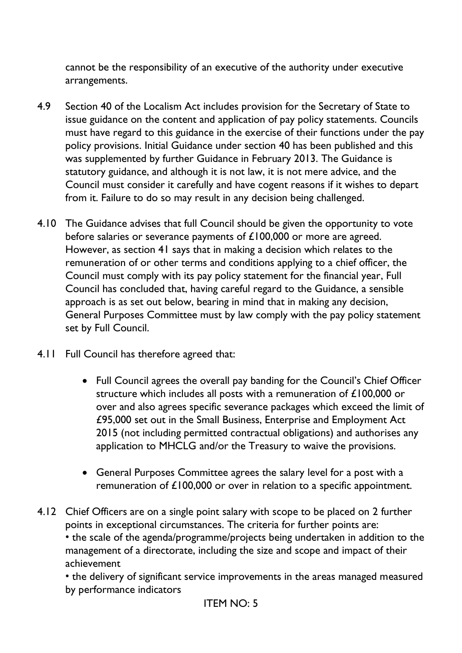cannot be the responsibility of an executive of the authority under executive arrangements.

- 4.9 Section 40 of the Localism Act includes provision for the Secretary of State to issue guidance on the content and application of pay policy statements. Councils must have regard to this guidance in the exercise of their functions under the pay policy provisions. Initial Guidance under section 40 has been published and this was supplemented by further Guidance in February 2013. The Guidance is statutory guidance, and although it is not law, it is not mere advice, and the Council must consider it carefully and have cogent reasons if it wishes to depart from it. Failure to do so may result in any decision being challenged.
- 4.10 The Guidance advises that full Council should be given the opportunity to vote before salaries or severance payments of £100,000 or more are agreed. However, as section 41 says that in making a decision which relates to the remuneration of or other terms and conditions applying to a chief officer, the Council must comply with its pay policy statement for the financial year, Full Council has concluded that, having careful regard to the Guidance, a sensible approach is as set out below, bearing in mind that in making any decision, General Purposes Committee must by law comply with the pay policy statement set by Full Council.
- 4.11 Full Council has therefore agreed that:
	- Full Council agrees the overall pay banding for the Council's Chief Officer structure which includes all posts with a remuneration of £100,000 or over and also agrees specific severance packages which exceed the limit of £95,000 set out in the Small Business, Enterprise and Employment Act 2015 (not including permitted contractual obligations) and authorises any application to MHCLG and/or the Treasury to waive the provisions.
	- General Purposes Committee agrees the salary level for a post with a remuneration of £100,000 or over in relation to a specific appointment.
- 4.12 Chief Officers are on a single point salary with scope to be placed on 2 further points in exceptional circumstances. The criteria for further points are: • the scale of the agenda/programme/projects being undertaken in addition to the management of a directorate, including the size and scope and impact of their achievement

• the delivery of significant service improvements in the areas managed measured by performance indicators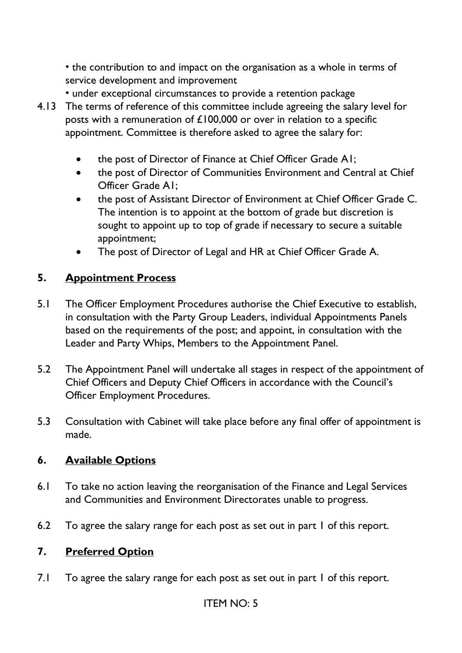• the contribution to and impact on the organisation as a whole in terms of service development and improvement

- under exceptional circumstances to provide a retention package 4.13 The terms of reference of this committee include agreeing the salary level for posts with a remuneration of £100,000 or over in relation to a specific appointment. Committee is therefore asked to agree the salary for:
	- the post of Director of Finance at Chief Officer Grade A1;
	- the post of Director of Communities Environment and Central at Chief Officer Grade A1;
	- the post of Assistant Director of Environment at Chief Officer Grade C. The intention is to appoint at the bottom of grade but discretion is sought to appoint up to top of grade if necessary to secure a suitable appointment;
	- The post of Director of Legal and HR at Chief Officer Grade A.

#### **5. Appointment Process**

- 5.1 The Officer Employment Procedures authorise the Chief Executive to establish, in consultation with the Party Group Leaders, individual Appointments Panels based on the requirements of the post; and appoint, in consultation with the Leader and Party Whips, Members to the Appointment Panel.
- 5.2 The Appointment Panel will undertake all stages in respect of the appointment of Chief Officers and Deputy Chief Officers in accordance with the Council's Officer Employment Procedures.
- 5.3 Consultation with Cabinet will take place before any final offer of appointment is made.

#### **6. Available Options**

- 6.1 To take no action leaving the reorganisation of the Finance and Legal Services and Communities and Environment Directorates unable to progress.
- 6.2 To agree the salary range for each post as set out in part 1 of this report.

#### **7. Preferred Option**

7.1 To agree the salary range for each post as set out in part 1 of this report.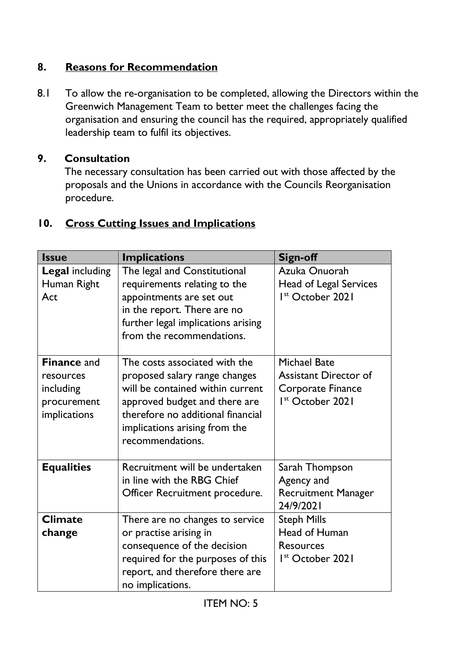### **8. Reasons for Recommendation**

8.1 To allow the re-organisation to be completed, allowing the Directors within the Greenwich Management Team to better meet the challenges facing the organisation and ensuring the council has the required, appropriately qualified leadership team to fulfil its objectives.

#### **9. Consultation**

 The necessary consultation has been carried out with those affected by the proposals and the Unions in accordance with the Councils Reorganisation procedure.

# **10. Cross Cutting Issues and Implications**

| <b>Issue</b>                                                                | <b>Implications</b>                                                                                                                                                                                                           | <b>Sign-off</b>                                                                                          |
|-----------------------------------------------------------------------------|-------------------------------------------------------------------------------------------------------------------------------------------------------------------------------------------------------------------------------|----------------------------------------------------------------------------------------------------------|
| <b>Legal including</b><br>Human Right<br>Act                                | The legal and Constitutional<br>requirements relating to the<br>appointments are set out<br>in the report. There are no<br>further legal implications arising<br>from the recommendations.                                    | Azuka Onuorah<br><b>Head of Legal Services</b><br>I <sup>st</sup> October 2021                           |
| <b>Finance and</b><br>resources<br>including<br>procurement<br>implications | The costs associated with the<br>proposed salary range changes<br>will be contained within current<br>approved budget and there are<br>therefore no additional financial<br>implications arising from the<br>recommendations. | <b>Michael Bate</b><br><b>Assistant Director of</b><br>Corporate Finance<br>I <sup>st</sup> October 2021 |
| <b>Equalities</b>                                                           | Recruitment will be undertaken<br>in line with the RBG Chief<br>Officer Recruitment procedure.                                                                                                                                | Sarah Thompson<br>Agency and<br><b>Recruitment Manager</b><br>24/9/2021                                  |
| <b>Climate</b><br>change                                                    | There are no changes to service<br>or practise arising in<br>consequence of the decision<br>required for the purposes of this<br>report, and therefore there are<br>no implications.                                          | <b>Steph Mills</b><br>Head of Human<br><b>Resources</b><br>I <sup>st</sup> October 2021                  |